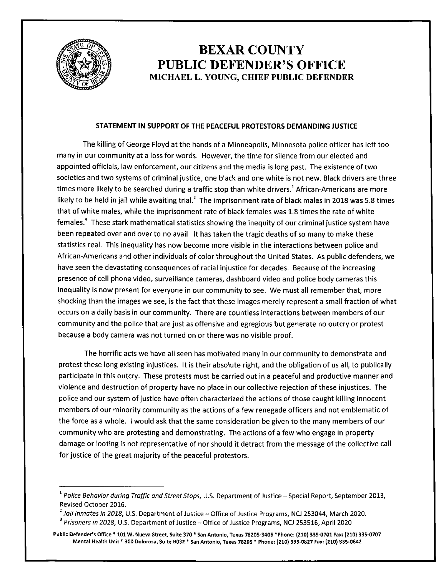

## **BEXAR COUNTY PUBLIC DEFENDER'S OFFICE MICHAEL L. YOUNG, CHIEF PUBLIC DEFENDER**

## **STATEMENT IN SUPPORT OF THE PEACEFUL PROTESTORS DEMANDING JUSTICE**

The killing of George Floyd at the hands of a Minneapolis, Minnesota police officer has left too many in our community at a loss for words. However, the time for silence from our elected and appointed officials, law enforcement, our citizens and the media is long past. The existence of two societies and two systems of criminal justice, one black and one white is not new. Black drivers are three times more likely to be searched during a traffic stop than white drivers.<sup>1</sup> African-Americans are more likely to be held in jail while awaiting trial.<sup>2</sup> The imprisonment rate of black males in 2018 was 5.8 times that of white males, while the imprisonment rate of black females was 1.8 times the rate of white females.<sup>3</sup> These stark mathematical statistics showing the inequity of our criminal justice system have been repeated over and over to no avail. It has taken the tragic deaths of so many to make these statistics real. This inequality has now become more visible in the interactions between police and African-Americans and other individuals of color throughout the United States. As public defenders, we have seen the devastating consequences of racial injustice for decades. Because of the increasing presence of cell phone video, surveillance cameras, dashboard video and police body cameras this inequality is now present for everyone in our community to see. We must all remember that, more shocking than the images we see, is the fact that these images merely represent a small fraction of what occurs on a daily basis in our community. There are countless interactions between members of our community and the police that are just as offensive and egregious but generate no outcry or protest because a body camera was not turned on or there was no visible proof.

The horrific acts we have all seen has motivated many in our community to demonstrate and protest these long existing injustices. It is their absolute right, and the obligation of us all, to publically participate in this outcry. These protests must be carried out in a peaceful and productive manner and violence and destruction of property have no place in our collective rejection of these injustices. The police and our system of justice have often characterized the actions of those caught killing innocent members of our minority community as the actions of a few renegade officers and not emblematic of the force as a whole. I would ask that the same consideration be given to the many members of our community who are protesting and demonstrating. The actions of a few who engage in property damage or looting is not representative of nor should it detract from the message of the collective call for justice of the great majority of the peaceful protestors.

<sup>&</sup>lt;sup>1</sup> Police Behavior during Traffic and Street Stops, U.S. Department of Justice – Special Report, September 2013, Revised October 2016.

<sup>&</sup>lt;sup>2</sup> Jail Inmates in 2018, U.S. Department of Justice - Office of Justice Programs, NCJ 253044, March 2020.<br><sup>3</sup> Prisoners in 2018, U.S. Department of Justice - Office of Justice Programs, NCJ 253516, April 2020

**Public Defender's Office• 101 W. Nueva Street, Suite 370 • San Antonio, Texas 78205-3406 "'Phone: (210) 335-0701 Fax: (210) 335-0707 Mental Health Unit\* 300 Dolorosa, Suite B032 \* San Antonio, Texas 78205 \* Phone: (210) 335-0827 Fax: (210) 335-0642**